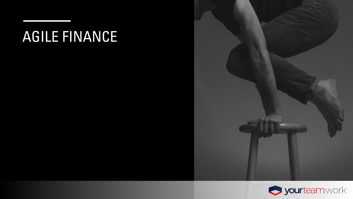# AGILE FINANCE



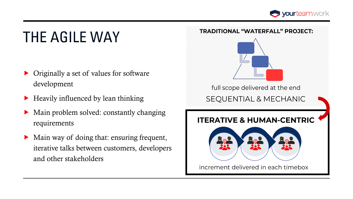

# THE AGILE WAY

- Originally a set of values for software development
- $\blacktriangleright$  Heavily influenced by lean thinking
- Main problem solved: constantly changing requirements
- Main way of doing that: ensuring frequent, iterative talks between customers, developers and other stakeholders

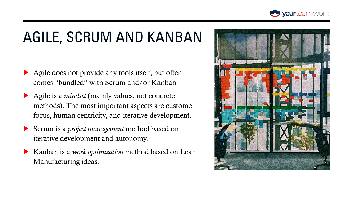

### AGILE, SCRUM AND KANBAN

- Agile does not provide any tools itself, but often comes "bundled" with Scrum and/or Kanban
- ▶ Agile is a *mindset* (mainly values, not concrete methods). The most important aspects are customer focus, human centricity, and iterative development.
- Scrum is a *project management* method based on iterative development and autonomy.
- Kanban is a *work optimization* method based on Lean Manufacturing ideas.

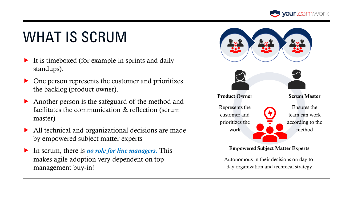

# **WHAT IS SCRUM**

- $\blacktriangleright$  It is timeboxed (for example in sprints and daily standups).
- One person represents the customer and prioritizes the backlog (product owner).
- Another person is the safeguard of the method and facilitates the communication & reflection (scrum master)
- All technical and organizational decisions are made by empowered subject matter experts
- In scrum, there is *no role for line managers.* This makes agile adoption very dependent on top management buy-in!



#### Empowered Subject Matter Experts

Autonomous in their decisions on day-today organization and technical strategy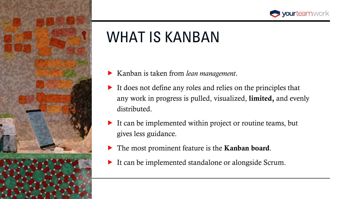



- Kanban is taken from *lean management*.
- It does not define any roles and relies on the principles that any work in progress is pulled, visualized, **limited**, and evenly distributed.
- It can be implemented within project or routine teams, but gives less guidance.
- The most prominent feature is the **Kanban board**.
- It can be implemented standalone or alongside Scrum.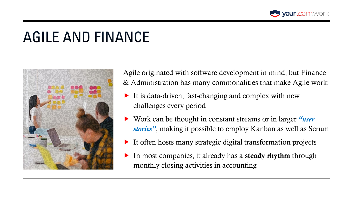

#### AGILE AND FINANCE



Agile originated with software development in mind, but Finance & Administration has many commonalities that make Agile work:

- It is data-driven, fast-changing and complex with new challenges every period
- Work can be thought in constant streams or in larger *"user stories"*, making it possible to employ Kanban as well as Scrum
- $\blacktriangleright$  It often hosts many strategic digital transformation projects
- In most companies, it already has a **steady rhythm** through monthly closing activities in accounting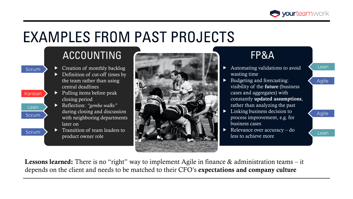

#### **EXAMPLES FROM PAST PROJECTS**

#### ACCOUNTING

- Creation of monthly backlog Definition of cut-off times by the team rather than using central deadlines
- $\blacktriangleright$  Pulling items before peak Kanban closing period

Scrum

Lean

Scrum

Scrum

- Reflection: *"gemba walks"*  during closing and discussion with neighboring departments later on
- $\blacktriangleright$  Transition of team leaders to product owner role



#### FP&A

- Automating validations to avoid wasting time
- Budgeting and forecasting: visibility of the future (business cases and aggregates) with constantly updated assumptions, rather than analyzing the past
- Linking business decision to process improvement, e.g. for business cases
- Relevance over accuracy do less to achieve more

#### **Agile**

Lean

Agile

Lean

**Lessons learned:** There is no "right" way to implement Agile in finance  $\&$  administration teams – it depends on the client and needs to be matched to their CFO's expectations and company culture